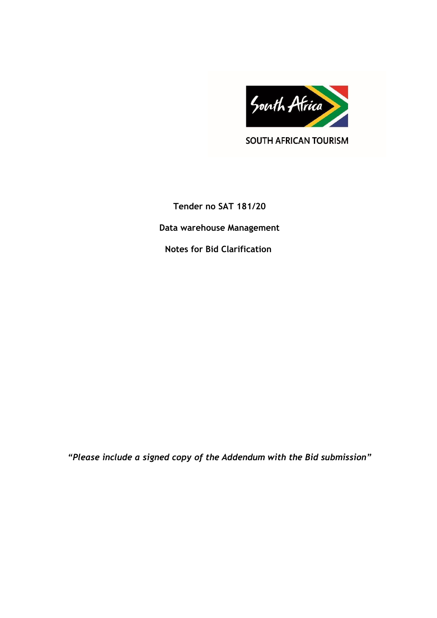

**SOUTH AFRICAN TOURISM** 

**Tender no SAT 181/20 Data warehouse Management Notes for Bid Clarification** 

*"Please include a signed copy of the Addendum with the Bid submission"*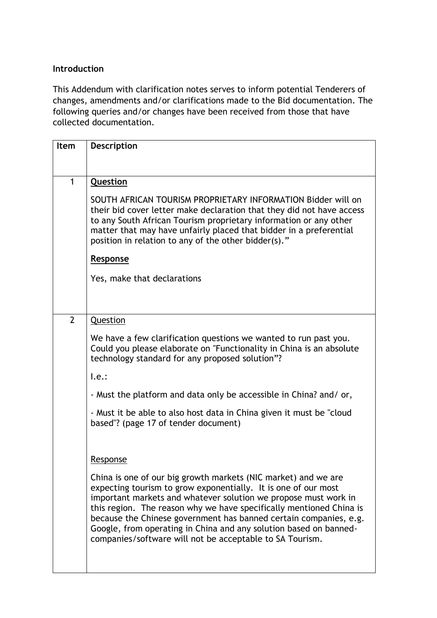## **Introduction**

This Addendum with clarification notes serves to inform potential Tenderers of changes, amendments and/or clarifications made to the Bid documentation. The following queries and/or changes have been received from those that have collected documentation.

| Item           | <b>Description</b>                                                                                                                                                                                                                                                                                                                                                                                                                                                               |
|----------------|----------------------------------------------------------------------------------------------------------------------------------------------------------------------------------------------------------------------------------------------------------------------------------------------------------------------------------------------------------------------------------------------------------------------------------------------------------------------------------|
|                |                                                                                                                                                                                                                                                                                                                                                                                                                                                                                  |
| 1              | Question                                                                                                                                                                                                                                                                                                                                                                                                                                                                         |
|                | SOUTH AFRICAN TOURISM PROPRIETARY INFORMATION Bidder will on<br>their bid cover letter make declaration that they did not have access<br>to any South African Tourism proprietary information or any other<br>matter that may have unfairly placed that bidder in a preferential<br>position in relation to any of the other bidder(s)."                                                                                                                                         |
|                | Response                                                                                                                                                                                                                                                                                                                                                                                                                                                                         |
|                | Yes, make that declarations                                                                                                                                                                                                                                                                                                                                                                                                                                                      |
|                |                                                                                                                                                                                                                                                                                                                                                                                                                                                                                  |
|                |                                                                                                                                                                                                                                                                                                                                                                                                                                                                                  |
| $\overline{2}$ | Question                                                                                                                                                                                                                                                                                                                                                                                                                                                                         |
|                | We have a few clarification questions we wanted to run past you.<br>Could you please elaborate on "Functionality in China is an absolute<br>technology standard for any proposed solution"?                                                                                                                                                                                                                                                                                      |
|                | l.e.:                                                                                                                                                                                                                                                                                                                                                                                                                                                                            |
|                | - Must the platform and data only be accessible in China? and/ or,                                                                                                                                                                                                                                                                                                                                                                                                               |
|                | - Must it be able to also host data in China given it must be "cloud"<br>based"? (page 17 of tender document)                                                                                                                                                                                                                                                                                                                                                                    |
|                | Response                                                                                                                                                                                                                                                                                                                                                                                                                                                                         |
|                | China is one of our big growth markets (NIC market) and we are<br>expecting tourism to grow exponentially. It is one of our most<br>important markets and whatever solution we propose must work in<br>this region. The reason why we have specifically mentioned China is<br>because the Chinese government has banned certain companies, e.g.<br>Google, from operating in China and any solution based on banned-<br>companies/software will not be acceptable to SA Tourism. |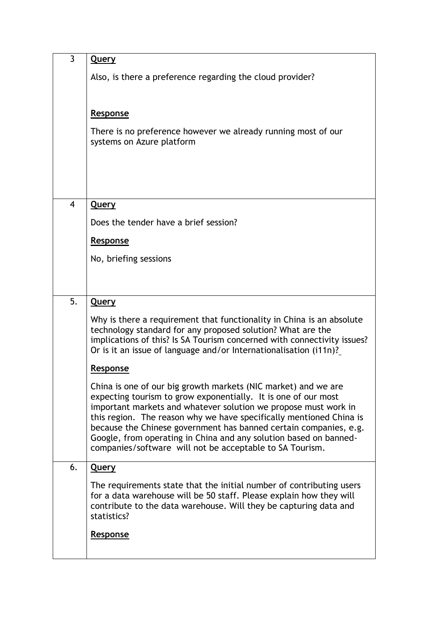| 3  | <u>Query</u>                                                                                                                                                                                                                                                                                                                                                                                                                                                                     |
|----|----------------------------------------------------------------------------------------------------------------------------------------------------------------------------------------------------------------------------------------------------------------------------------------------------------------------------------------------------------------------------------------------------------------------------------------------------------------------------------|
|    | Also, is there a preference regarding the cloud provider?                                                                                                                                                                                                                                                                                                                                                                                                                        |
|    |                                                                                                                                                                                                                                                                                                                                                                                                                                                                                  |
|    | Response                                                                                                                                                                                                                                                                                                                                                                                                                                                                         |
|    | There is no preference however we already running most of our<br>systems on Azure platform                                                                                                                                                                                                                                                                                                                                                                                       |
|    |                                                                                                                                                                                                                                                                                                                                                                                                                                                                                  |
|    |                                                                                                                                                                                                                                                                                                                                                                                                                                                                                  |
| 4  | <u>Query</u>                                                                                                                                                                                                                                                                                                                                                                                                                                                                     |
|    | Does the tender have a brief session?                                                                                                                                                                                                                                                                                                                                                                                                                                            |
|    | Response                                                                                                                                                                                                                                                                                                                                                                                                                                                                         |
|    | No, briefing sessions                                                                                                                                                                                                                                                                                                                                                                                                                                                            |
|    |                                                                                                                                                                                                                                                                                                                                                                                                                                                                                  |
| 5. | <b>Query</b>                                                                                                                                                                                                                                                                                                                                                                                                                                                                     |
|    | Why is there a requirement that functionality in China is an absolute<br>technology standard for any proposed solution? What are the<br>implications of this? Is SA Tourism concerned with connectivity issues?<br>Or is it an issue of language and/or Internationalisation (i11n)?                                                                                                                                                                                             |
|    | Response                                                                                                                                                                                                                                                                                                                                                                                                                                                                         |
|    | China is one of our big growth markets (NIC market) and we are<br>expecting tourism to grow exponentially. It is one of our most<br>important markets and whatever solution we propose must work in<br>this region. The reason why we have specifically mentioned China is<br>because the Chinese government has banned certain companies, e.g.<br>Google, from operating in China and any solution based on banned-<br>companies/software will not be acceptable to SA Tourism. |
| 6. | <b>Query</b>                                                                                                                                                                                                                                                                                                                                                                                                                                                                     |
|    | The requirements state that the initial number of contributing users<br>for a data warehouse will be 50 staff. Please explain how they will<br>contribute to the data warehouse. Will they be capturing data and<br>statistics?                                                                                                                                                                                                                                                  |
|    | Response                                                                                                                                                                                                                                                                                                                                                                                                                                                                         |
|    |                                                                                                                                                                                                                                                                                                                                                                                                                                                                                  |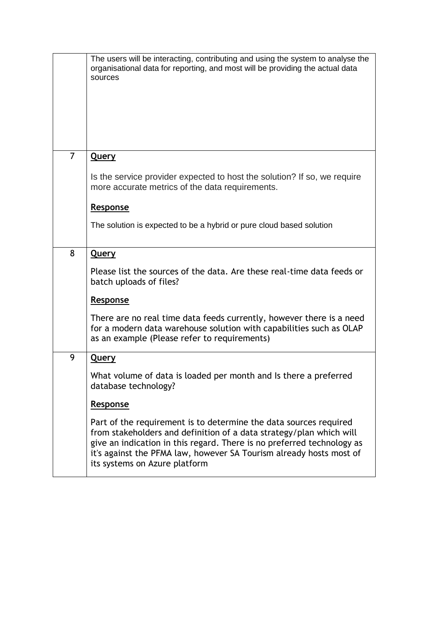|   | The users will be interacting, contributing and using the system to analyse the<br>organisational data for reporting, and most will be providing the actual data<br>sources                                                                                                                                                |
|---|----------------------------------------------------------------------------------------------------------------------------------------------------------------------------------------------------------------------------------------------------------------------------------------------------------------------------|
| 7 | <b>Query</b>                                                                                                                                                                                                                                                                                                               |
|   | Is the service provider expected to host the solution? If so, we require<br>more accurate metrics of the data requirements.                                                                                                                                                                                                |
|   | Response                                                                                                                                                                                                                                                                                                                   |
|   | The solution is expected to be a hybrid or pure cloud based solution                                                                                                                                                                                                                                                       |
| 8 | <b>Query</b>                                                                                                                                                                                                                                                                                                               |
|   | Please list the sources of the data. Are these real-time data feeds or<br>batch uploads of files?                                                                                                                                                                                                                          |
|   | Response                                                                                                                                                                                                                                                                                                                   |
|   | There are no real time data feeds currently, however there is a need<br>for a modern data warehouse solution with capabilities such as OLAP<br>as an example (Please refer to requirements)                                                                                                                                |
| 9 | <b>Query</b>                                                                                                                                                                                                                                                                                                               |
|   | What volume of data is loaded per month and Is there a preferred<br>database technology?                                                                                                                                                                                                                                   |
|   | <b>Response</b>                                                                                                                                                                                                                                                                                                            |
|   | Part of the requirement is to determine the data sources required<br>from stakeholders and definition of a data strategy/plan which will<br>give an indication in this regard. There is no preferred technology as<br>it's against the PFMA law, however SA Tourism already hosts most of<br>its systems on Azure platform |